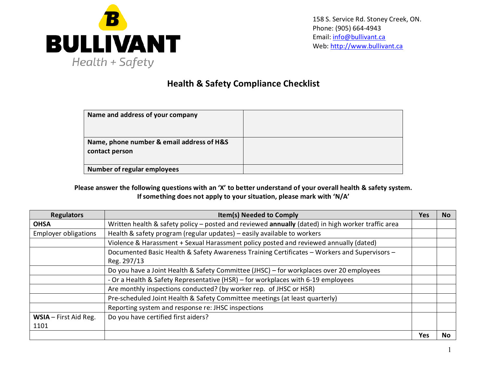

## **Health & Safety Compliance Checklist**

| Name and address of your company                            |  |
|-------------------------------------------------------------|--|
| Name, phone number & email address of H&S<br>contact person |  |
| <b>Number of regular employees</b>                          |  |

**Please answer the following questions with an 'X' to better understand of your overall health & safety system. If something does not apply to your situation, please mark with 'N/A'**

| <b>Regulators</b>             | <b>Item(s) Needed to Comply</b>                                                                             | <b>Yes</b> | <b>No</b> |
|-------------------------------|-------------------------------------------------------------------------------------------------------------|------------|-----------|
| <b>OHSA</b>                   | Written health & safety policy - posted and reviewed annually (dated) in high worker traffic area           |            |           |
| <b>Employer obligations</b>   | Health & safety program (regular updates) - easily available to workers                                     |            |           |
|                               | Violence & Harassment + Sexual Harassment policy posted and reviewed annually (dated)                       |            |           |
|                               | Documented Basic Health & Safety Awareness Training Certificates - Workers and Supervisors -<br>Reg. 297/13 |            |           |
|                               | Do you have a Joint Health & Safety Committee (JHSC) – for workplaces over 20 employees                     |            |           |
|                               | - Or a Health & Safety Representative (HSR) - for workplaces with 6-19 employees                            |            |           |
|                               | Are monthly inspections conducted? (by worker rep. of JHSC or HSR)                                          |            |           |
|                               | Pre-scheduled Joint Health & Safety Committee meetings (at least quarterly)                                 |            |           |
|                               | Reporting system and response re: JHSC inspections                                                          |            |           |
| WSIA - First Aid Reg.<br>1101 | Do you have certified first aiders?                                                                         |            |           |
|                               |                                                                                                             | <b>Yes</b> | No.       |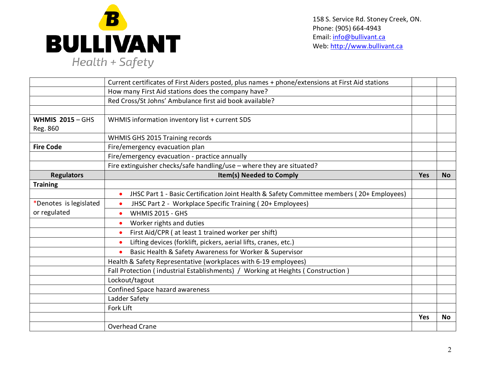

158 S. Service Rd. Stoney Creek, ON. Phone: (905) 664-4943 Email: [info@bullivant.ca](mailto:info@bullivant.ca) Web: [http://www.bullivant.ca](http://www.bullivant.ca/)

|                         | Current certificates of First Aiders posted, plus names + phone/extensions at First Aid stations       |            |           |
|-------------------------|--------------------------------------------------------------------------------------------------------|------------|-----------|
|                         | How many First Aid stations does the company have?                                                     |            |           |
|                         | Red Cross/St Johns' Ambulance first aid book available?                                                |            |           |
|                         |                                                                                                        |            |           |
| <b>WHMIS 2015 - GHS</b> | WHMIS information inventory list + current SDS                                                         |            |           |
| Reg. 860                |                                                                                                        |            |           |
|                         | WHMIS GHS 2015 Training records                                                                        |            |           |
| <b>Fire Code</b>        | Fire/emergency evacuation plan                                                                         |            |           |
|                         | Fire/emergency evacuation - practice annually                                                          |            |           |
|                         | Fire extinguisher checks/safe handling/use - where they are situated?                                  |            |           |
| <b>Regulators</b>       | Item(s) Needed to Comply                                                                               | <b>Yes</b> | <b>No</b> |
| <b>Training</b>         |                                                                                                        |            |           |
|                         | JHSC Part 1 - Basic Certification Joint Health & Safety Committee members (20+ Employees)<br>$\bullet$ |            |           |
| *Denotes is legislated  | JHSC Part 2 - Workplace Specific Training (20+ Employees)                                              |            |           |
| or regulated            | <b>WHMIS 2015 - GHS</b>                                                                                |            |           |
|                         | Worker rights and duties                                                                               |            |           |
|                         | First Aid/CPR (at least 1 trained worker per shift)<br>$\bullet$                                       |            |           |
|                         | Lifting devices (forklift, pickers, aerial lifts, cranes, etc.)                                        |            |           |
|                         | Basic Health & Safety Awareness for Worker & Supervisor                                                |            |           |
|                         | Health & Safety Representative (workplaces with 6-19 employees)                                        |            |           |
|                         | Fall Protection (industrial Establishments) / Working at Heights (Construction)                        |            |           |
|                         | Lockout/tagout                                                                                         |            |           |
|                         | Confined Space hazard awareness                                                                        |            |           |
|                         | Ladder Safety                                                                                          |            |           |
|                         | Fork Lift                                                                                              |            |           |
|                         |                                                                                                        | Yes        | <b>No</b> |
|                         | Overhead Crane                                                                                         |            |           |
|                         |                                                                                                        |            |           |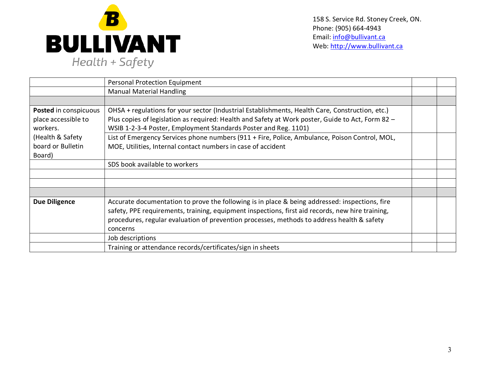

158 S. Service Rd. Stoney Creek, ON. Phone: (905) 664-4943 Email: [info@bullivant.ca](mailto:info@bullivant.ca) Web: [http://www.bullivant.ca](http://www.bullivant.ca/)

|                       | <b>Personal Protection Equipment</b>                                                              |  |
|-----------------------|---------------------------------------------------------------------------------------------------|--|
|                       | <b>Manual Material Handling</b>                                                                   |  |
|                       |                                                                                                   |  |
| Posted in conspicuous | OHSA + regulations for your sector (Industrial Establishments, Health Care, Construction, etc.)   |  |
| place accessible to   | Plus copies of legislation as required: Health and Safety at Work poster, Guide to Act, Form 82 - |  |
| workers.              | WSIB 1-2-3-4 Poster, Employment Standards Poster and Reg. 1101)                                   |  |
| (Health & Safety      | List of Emergency Services phone numbers (911 + Fire, Police, Ambulance, Poison Control, MOL,     |  |
| board or Bulletin     | MOE, Utilities, Internal contact numbers in case of accident                                      |  |
| Board)                |                                                                                                   |  |
|                       | SDS book available to workers                                                                     |  |
|                       |                                                                                                   |  |
|                       |                                                                                                   |  |
|                       |                                                                                                   |  |
| <b>Due Diligence</b>  | Accurate documentation to prove the following is in place & being addressed: inspections, fire    |  |
|                       | safety, PPE requirements, training, equipment inspections, first aid records, new hire training,  |  |
|                       | procedures, regular evaluation of prevention processes, methods to address health & safety        |  |
|                       | concerns                                                                                          |  |
|                       | Job descriptions                                                                                  |  |
|                       | Training or attendance records/certificates/sign in sheets                                        |  |